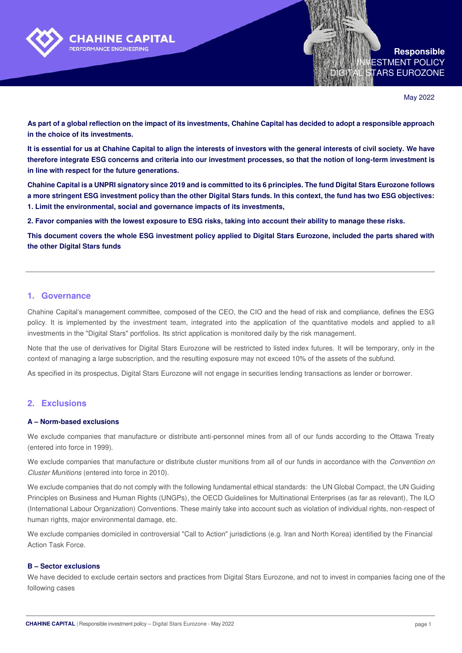

**Responsible**  ESTMENT POLICY TARS EUROZONE

May 2022

**As part of a global reflection on the impact of its investments, Chahine Capital has decided to adopt a responsible approach in the choice of its investments.** 

**It is essential for us at Chahine Capital to align the interests of investors with the general interests of civil society. We have therefore integrate ESG concerns and criteria into our investment processes, so that the notion of long-term investment is in line with respect for the future generations.** 

**Chahine Capital is a UNPRI signatory since 2019 and is committed to its 6 principles. The fund Digital Stars Eurozone follows a more stringent ESG investment policy than the other Digital Stars funds. In this context, the fund has two ESG objectives: 1. Limit the environmental, social and governance impacts of its investments,** 

**2. Favor companies with the lowest exposure to ESG risks, taking into account their ability to manage these risks.** 

**This document covers the whole ESG investment policy applied to Digital Stars Eurozone, included the parts shared with the other Digital Stars funds** 

## **1. Governance**

Chahine Capital's management committee, composed of the CEO, the CIO and the head of risk and compliance, defines the ESG policy. It is implemented by the investment team, integrated into the application of the quantitative models and applied to all investments in the "Digital Stars" portfolios. Its strict application is monitored daily by the risk management.

Note that the use of derivatives for Digital Stars Eurozone will be restricted to listed index futures. It will be temporary, only in the context of managing a large subscription, and the resulting exposure may not exceed 10% of the assets of the subfund.

As specified in its prospectus, Digital Stars Eurozone will not engage in securities lending transactions as lender or borrower.

## **2. Exclusions**

## **A – Norm-based exclusions**

We exclude companies that manufacture or distribute anti-personnel mines from all of our funds according to the Ottawa Treaty (entered into force in 1999).

We exclude companies that manufacture or distribute cluster munitions from all of our funds in accordance with the Convention on Cluster Munitions (entered into force in 2010).

We exclude companies that do not comply with the following fundamental ethical standards: the UN Global Compact, the UN Guiding Principles on Business and Human Rights (UNGPs), the OECD Guidelines for Multinational Enterprises (as far as relevant), The ILO (International Labour Organization) Conventions. These mainly take into account such as violation of individual rights, non-respect of human rights, major environmental damage, etc.

We exclude companies domiciled in controversial "Call to Action" jurisdictions (e.g. Iran and North Korea) identified by the Financial Action Task Force.

## **B – Sector exclusions**

We have decided to exclude certain sectors and practices from Digital Stars Eurozone, and not to invest in companies facing one of the following cases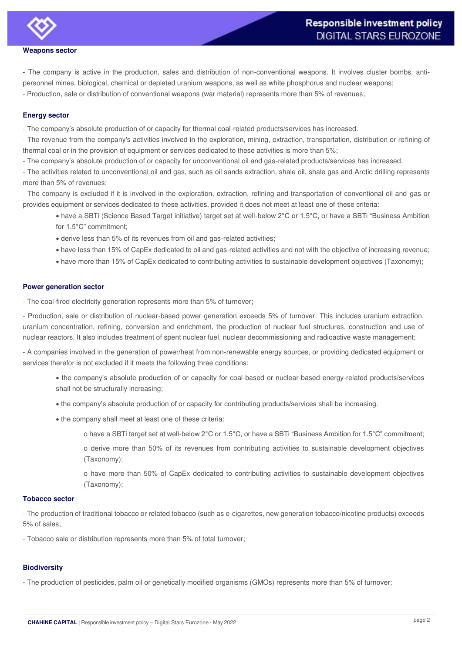

**Weapons sector** 

- The company is active in the production, sales and distribution of non-conventional weapons. It involves cluster bombs, antipersonnel mines, biological, chemical or depleted uranium weapons, as well as white phosphorus and nuclear weapons;

- Production, sale or distribution of conventional weapons (war material) represents more than 5% of revenues;

## **Energy sector**

- The company's absolute production of or capacity for thermal coal-related products/services has increased.

- The revenue from the company's activities involved in the exploration, mining, extraction, transportation, distribution or refining of thermal coal or in the provision of equipment or services dedicated to these activities is more than 5%;

- The company's absolute production of or capacity for unconventional oil and gas-related products/services has increased.

- The activities related to unconventional oil and gas, such as oil sands extraction, shale oil, shale gas and Arctic drilling represents more than 5% of revenues;

- The company is excluded if it is involved in the exploration, extraction, refining and transportation of conventional oil and gas or provides equipment or services dedicated to these activities, provided it does not meet at least one of these criteria:

 have a SBTi (Science Based Target initiative) target set at well-below 2°C or 1.5°C, or have a SBTi "Business Ambition for 1.5°C" commitment;

- derive less than 5% of its revenues from oil and gas-related activities;
- have less than 15% of CapEx dedicated to oil and gas-related activities and not with the objective of increasing revenue;
- have more than 15% of CapEx dedicated to contributing activities to sustainable development objectives (Taxonomy);

#### **Power generation sector**

- The coal-fired electricity generation represents more than 5% of turnover;

- Production, sale or distribution of nuclear-based power generation exceeds 5% of turnover. This includes uranium extraction, uranium concentration, refining, conversion and enrichment, the production of nuclear fuel structures, construction and use of nuclear reactors. It also includes treatment of spent nuclear fuel, nuclear decommissioning and radioactive waste management;

- A companies involved in the generation of power/heat from non-renewable energy sources, or providing dedicated equipment or services therefor is not excluded if it meets the following three conditions:

- the company's absolute production of or capacity for coal-based or nuclear-based energy-related products/services shall not be structurally increasing;
- the company's absolute production of or capacity for contributing products/services shall be increasing.
- $\bullet$  the company shall meet at least one of these criteria:
	- o have a SBTi target set at well-below 2°C or 1.5°C, or have a SBTi "Business Ambition for 1.5°C" commitment;
	- o derive more than 50% of its revenues from contributing activities to sustainable development objectives (Taxonomy);
	- o have more than 50% of CapEx dedicated to contributing activities to sustainable development objectives (Taxonomy);

#### **Tobacco sector**

- The production of traditional tobacco or related tobacco (such as e-cigarettes, new generation tobacco/nicotine products) exceeds 5% of sales;

- Tobacco sale or distribution represents more than 5% of total turnover;

#### **Biodiversity**

- The production of pesticides, palm oil or genetically modified organisms (GMOs) represents more than 5% of turnover;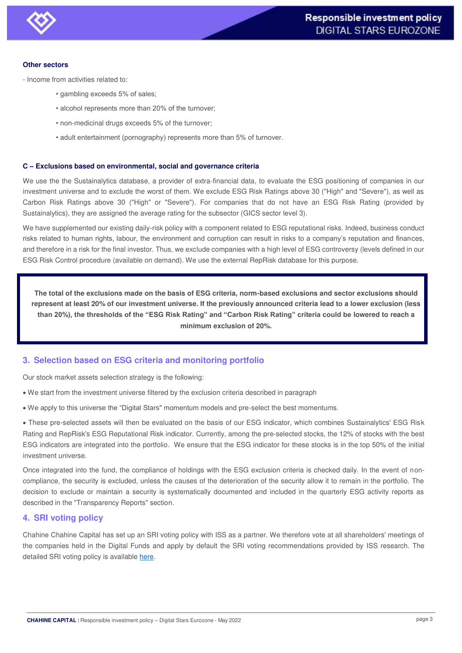#### **Other sectors**

- Income from activities related to:
	- gambling exceeds 5% of sales;
	- alcohol represents more than 20% of the turnover;
	- non-medicinal drugs exceeds 5% of the turnover;
	- adult entertainment (pornography) represents more than 5% of turnover.

## **C – Exclusions based on environmental, social and governance criteria**

We use the the Sustainalytics database, a provider of extra-financial data, to evaluate the ESG positioning of companies in our investment universe and to exclude the worst of them. We exclude ESG Risk Ratings above 30 ("High" and "Severe"), as well as Carbon Risk Ratings above 30 ("High" or "Severe"). For companies that do not have an ESG Risk Rating (provided by Sustainalytics), they are assigned the average rating for the subsector (GICS sector level 3).

We have supplemented our existing daily-risk policy with a component related to ESG reputational risks. Indeed, business conduct risks related to human rights, labour, the environment and corruption can result in risks to a company's reputation and finances, and therefore in a risk for the final investor. Thus, we exclude companies with a high level of ESG controversy (levels defined in our ESG Risk Control procedure (available on demand). We use the external RepRisk database for this purpose.

**The total of the exclusions made on the basis of ESG criteria, norm-based exclusions and sector exclusions should represent at least 20% of our investment universe. If the previously announced criteria lead to a lower exclusion (less than 20%), the thresholds of the "ESG Risk Rating" and "Carbon Risk Rating" criteria could be lowered to reach a minimum exclusion of 20%.** 

## **3. Selection based on ESG criteria and monitoring portfolio**

Our stock market assets selection strategy is the following:

- We start from the investment universe filtered by the exclusion criteria described in paragraph
- We apply to this universe the "Digital Stars" momentum models and pre-select the best momentums.

 These pre-selected assets will then be evaluated on the basis of our ESG indicator, which combines Sustainalytics' ESG Risk Rating and RepRisk's ESG Reputational Risk indicator. Currently, among the pre-selected stocks, the 12% of stocks with the best ESG indicators are integrated into the portfolio. We ensure that the ESG indicator for these stocks is in the top 50% of the initial investment universe.

Once integrated into the fund, the compliance of holdings with the ESG exclusion criteria is checked daily. In the event of noncompliance, the security is excluded, unless the causes of the deterioration of the security allow it to remain in the portfolio. The decision to exclude or maintain a security is systematically documented and included in the quarterly ESG activity reports as described in the "Transparency Reports" section.

## **4. SRI voting policy**

Chahine Chahine Capital has set up an SRI voting policy with ISS as a partner. We therefore vote at all shareholders' meetings of the companies held in the Digital Funds and apply by default the SRI voting recommendations provided by ISS research. The detailed SRI voting policy is available [here.](https://chahinecapital.com/wp-content/uploads/2022/05/CP-Politique-de-vote_avril_2022.pdf?country=fr&i=pro?country=lu&i=pro)